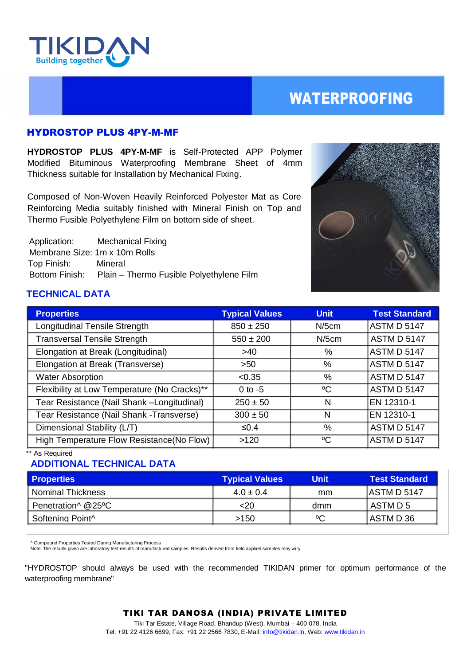

## WATERPROOFING

### HYDROSTOP PLUS 4PY-M-MF

**HYDROSTOP PLUS 4PY-M-MF** is Self-Protected APP Polymer Modified Bituminous Waterproofing Membrane Sheet of 4mm Thickness suitable for Installation by Mechanical Fixing.

Composed of Non-Woven Heavily Reinforced Polyester Mat as Core Reinforcing Media suitably finished with Mineral Finish on Top and Thermo Fusible Polyethylene Film on bottom side of sheet.

 Application: Mechanical Fixing Membrane Size: 1m x 10m Rolls Top Finish: Mineral Bottom Finish: Plain – Thermo Fusible Polyethylene Film



## **TECHNICAL DATA**

| <b>Properties</b>                            | <b>Typical Values</b> | <b>Unit</b> | <b>Test Standard</b> |
|----------------------------------------------|-----------------------|-------------|----------------------|
| Longitudinal Tensile Strength                | $850 \pm 250$         | $N/5$ cm    | ASTM D 5147          |
| <b>Transversal Tensile Strength</b>          | $550 \pm 200$         | $N/5$ cm    | <b>ASTM D 5147</b>   |
| Elongation at Break (Longitudinal)           | >40                   | %           | ASTM D 5147          |
| Elongation at Break (Transverse)             | >50                   | $\%$        | ASTM D 5147          |
| <b>Water Absorption</b>                      | < 0.35                | %           | <b>ASTM D 5147</b>   |
| Flexibility at Low Temperature (No Cracks)** | $0$ to $-5$           | $\rm ^{o}C$ | <b>ASTM D 5147</b>   |
| Tear Resistance (Nail Shank -Longitudinal)   | $250 \pm 50$          | N           | EN 12310-1           |
| Tear Resistance (Nail Shank - Transverse)    | $300 \pm 50$          | N           | EN 12310-1           |
| Dimensional Stability (L/T)                  | ≤0.4                  | %           | <b>ASTM D 5147</b>   |
| High Temperature Flow Resistance(No Flow)    | >120                  | °C          | ASTM D 5147          |

\*\* As Required

## **ADDITIONAL TECHNICAL DATA**

| <b>Properties</b>   | <b>Typical Values</b> | Unit | <b>Test Standard</b> |
|---------------------|-----------------------|------|----------------------|
| l Nominal Thickness | $4.0 \pm 0.4$         | mm   | <b>JASTMD 5147</b>   |
| Penetration^ @25°C  | <20                   | dmm  | I ASTM D 5           |
| l Softenina Point^  | >150                  | °C   | IASTM D 36           |

^ Compound Properties Tested During Manufacturing Process

Note: The results given are laboratory test results of manufactured samples. Results derived from field applied samples may vary.

"HYDROSTOP should always be used with the recommended TIKIDAN primer for optimum performance of the waterproofing membrane"

#### TIKI TAR DANOSA (INDIA) PRIVATE LIMITED